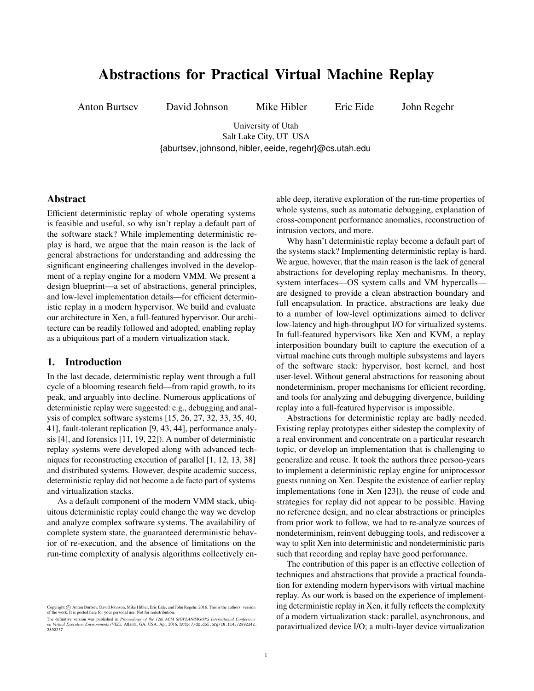# Abstractions for Practical Virtual Machine Replay

Anton Burtsev David Johnson Mike Hibler Eric Eide John Regehr

University of Utah Salt Lake City, UT USA [{aburtsev,](mailto:aburtsev@cs.utah.edu) [johnsond,](mailto:johnsond@cs.utah.edu) [hibler,](mailto:hibler@cs.utah.edu) [eeide,](mailto:eeide@cs.utah.edu) [regehr}](mailto:regehr@cs.utah.edu)@cs.utah.edu

### Abstract

Efficient deterministic replay of whole operating systems is feasible and useful, so why isn't replay a default part of the software stack? While implementing deterministic replay is hard, we argue that the main reason is the lack of general abstractions for understanding and addressing the significant engineering challenges involved in the development of a replay engine for a modern VMM. We present a design blueprint—a set of abstractions, general principles, and low-level implementation details—for efficient deterministic replay in a modern hypervisor. We build and evaluate our architecture in Xen, a full-featured hypervisor. Our architecture can be readily followed and adopted, enabling replay as a ubiquitous part of a modern virtualization stack.

# 1. Introduction

In the last decade, deterministic replay went through a full cycle of a blooming research field—from rapid growth, to its peak, and arguably into decline. Numerous applications of deterministic replay were suggested: e.g., debugging and analysis of complex software systems [\[15,](#page-12-0) [26,](#page-12-1) [27,](#page-12-2) [32,](#page-12-3) [33,](#page-12-4) [35,](#page-13-0) [40,](#page-13-1) [41\]](#page-13-2), fault-tolerant replication [\[9,](#page-12-5) [43,](#page-13-3) [44\]](#page-13-4), performance analysis [\[4\]](#page-11-0), and forensics [\[11,](#page-12-6) [19,](#page-12-7) [22\]](#page-12-8)). A number of deterministic replay systems were developed along with advanced techniques for reconstructing execution of parallel [\[1,](#page-11-1) [12,](#page-12-9) [13,](#page-12-10) [38\]](#page-13-5) and distributed systems. However, despite academic success, deterministic replay did not become a de facto part of systems and virtualization stacks.

As a default component of the modern VMM stack, ubiquitous deterministic replay could change the way we develop and analyze complex software systems. The availability of complete system state, the guaranteed deterministic behavior of re-execution, and the absence of limitations on the run-time complexity of analysis algorithms collectively enable deep, iterative exploration of the run-time properties of whole systems, such as automatic debugging, explanation of cross-component performance anomalies, reconstruction of intrusion vectors, and more.

Why hasn't deterministic replay become a default part of the systems stack? Implementing deterministic replay is hard. We argue, however, that the main reason is the lack of general abstractions for developing replay mechanisms. In theory, system interfaces—OS system calls and VM hypercalls are designed to provide a clean abstraction boundary and full encapsulation. In practice, abstractions are leaky due to a number of low-level optimizations aimed to deliver low-latency and high-throughput I/O for virtualized systems. In full-featured hypervisors like Xen and KVM, a replay interposition boundary built to capture the execution of a virtual machine cuts through multiple subsystems and layers of the software stack: hypervisor, host kernel, and host user-level. Without general abstractions for reasoning about nondeterminism, proper mechanisms for efficient recording, and tools for analyzing and debugging divergence, building replay into a full-featured hypervisor is impossible.

Abstractions for deterministic replay are badly needed. Existing replay prototypes either sidestep the complexity of a real environment and concentrate on a particular research topic, or develop an implementation that is challenging to generalize and reuse. It took the authors three person-years to implement a deterministic replay engine for uniprocessor guests running on Xen. Despite the existence of earlier replay implementations (one in Xen [\[23\]](#page-12-11)), the reuse of code and strategies for replay did not appear to be possible. Having no reference design, and no clear abstractions or principles from prior work to follow, we had to re-analyze sources of nondeterminism, reinvent debugging tools, and rediscover a way to split Xen into deterministic and nondeterministic parts such that recording and replay have good performance.

The contribution of this paper is an effective collection of techniques and abstractions that provide a practical foundation for extending modern hypervisors with virtual machine replay. As our work is based on the experience of implementing deterministic replay in Xen, it fully reflects the complexity of a modern virtualization stack: parallel, asynchronous, and paravirtualized device I/O; a multi-layer device virtualization

Copyright (C) Anton Burtsev, David Johnson, Mike Hibler, Eric Eide, and John Regehr, 2016. This is the authors' version of the work. It is posted here for your personal use. Not for redistribution.

The definitive version was published in *Proceedings of the 12th ACM SIGPLAN/SIGOPS International Conference*<br>*on Virtual Execution Environments (VEE),* Atlanta, GA, USA, Apr. 2016, [http://dx.doi.org/10.1145/2892242.](http://dx.doi.org/10.1145/2892242.2892257) [2892257](http://dx.doi.org/10.1145/2892242.2892257)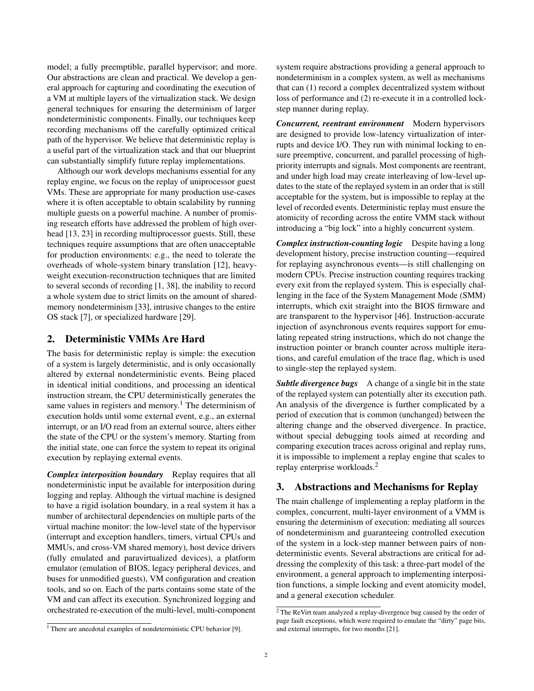model; a fully preemptible, parallel hypervisor; and more. Our abstractions are clean and practical. We develop a general approach for capturing and coordinating the execution of a VM at multiple layers of the virtualization stack. We design general techniques for ensuring the determinism of larger nondeterministic components. Finally, our techniques keep recording mechanisms off the carefully optimized critical path of the hypervisor. We believe that deterministic replay is a useful part of the virtualization stack and that our blueprint can substantially simplify future replay implementations.

Although our work develops mechanisms essential for any replay engine, we focus on the replay of uniprocessor guest VMs. These are appropriate for many production use-cases where it is often acceptable to obtain scalability by running multiple guests on a powerful machine. A number of promising research efforts have addressed the problem of high over-head [\[13,](#page-12-10) [23\]](#page-12-11) in recording multiprocessor guests. Still, these techniques require assumptions that are often unacceptable for production environments: e.g., the need to tolerate the overheads of whole-system binary translation [\[12\]](#page-12-9), heavyweight execution-reconstruction techniques that are limited to several seconds of recording [\[1,](#page-11-1) [38\]](#page-13-5), the inability to record a whole system due to strict limits on the amount of sharedmemory nondeterminism [\[33\]](#page-12-4), intrusive changes to the entire OS stack [\[7\]](#page-12-12), or specialized hardware [\[29\]](#page-12-13).

# 2. Deterministic VMMs Are Hard

The basis for deterministic replay is simple: the execution of a system is largely deterministic, and is only occasionally altered by external nondeterministic events. Being placed in identical initial conditions, and processing an identical instruction stream, the CPU deterministically generates the same values in registers and memory.<sup>[1](#page-1-0)</sup> The determinism of execution holds until some external event, e.g., an external interrupt, or an I/O read from an external source, alters either the state of the CPU or the system's memory. Starting from the initial state, one can force the system to repeat its original execution by replaying external events.

*Complex interposition boundary* Replay requires that all nondeterministic input be available for interposition during logging and replay. Although the virtual machine is designed to have a rigid isolation boundary, in a real system it has a number of architectural dependencies on multiple parts of the virtual machine monitor: the low-level state of the hypervisor (interrupt and exception handlers, timers, virtual CPUs and MMUs, and cross-VM shared memory), host device drivers (fully emulated and paravirtualized devices), a platform emulator (emulation of BIOS, legacy peripheral devices, and buses for unmodified guests), VM configuration and creation tools, and so on. Each of the parts contains some state of the VM and can affect its execution. Synchronized logging and orchestrated re-execution of the multi-level, multi-component

<span id="page-1-0"></span><sup>1</sup> There are anecdotal examples of nondeterministic CPU behavior [\[9\]](#page-12-5).

system require abstractions providing a general approach to nondeterminism in a complex system, as well as mechanisms that can (1) record a complex decentralized system without loss of performance and (2) re-execute it in a controlled lockstep manner during replay.

*Concurrent, reentrant environment* Modern hypervisors are designed to provide low-latency virtualization of interrupts and device I/O. They run with minimal locking to ensure preemptive, concurrent, and parallel processing of highpriority interrupts and signals. Most components are reentrant, and under high load may create interleaving of low-level updates to the state of the replayed system in an order that is still acceptable for the system, but is impossible to replay at the level of recorded events. Deterministic replay must ensure the atomicity of recording across the entire VMM stack without introducing a "big lock" into a highly concurrent system.

*Complex instruction-counting logic* Despite having a long development history, precise instruction counting—required for replaying asynchronous events—is still challenging on modern CPUs. Precise instruction counting requires tracking every exit from the replayed system. This is especially challenging in the face of the System Management Mode (SMM) interrupts, which exit straight into the BIOS firmware and are transparent to the hypervisor [\[46\]](#page-13-6). Instruction-accurate injection of asynchronous events requires support for emulating repeated string instructions, which do not change the instruction pointer or branch counter across multiple iterations, and careful emulation of the trace flag, which is used to single-step the replayed system.

**Subtle divergence bugs** A change of a single bit in the state of the replayed system can potentially alter its execution path. An analysis of the divergence is further complicated by a period of execution that is common (unchanged) between the altering change and the observed divergence. In practice, without special debugging tools aimed at recording and comparing execution traces across original and replay runs, it is impossible to implement a replay engine that scales to replay enterprise workloads.[2](#page-1-1)

# 3. Abstractions and Mechanisms for Replay

The main challenge of implementing a replay platform in the complex, concurrent, multi-layer environment of a VMM is ensuring the determinism of execution: mediating all sources of nondeterminism and guaranteeing controlled execution of the system in a lock-step manner between pairs of nondeterministic events. Several abstractions are critical for addressing the complexity of this task: a three-part model of the environment, a general approach to implementing interposition functions, a simple locking and event atomicity model, and a general execution scheduler.

<span id="page-1-1"></span><sup>&</sup>lt;sup>2</sup> The ReVirt team analyzed a replay-divergence bug caused by the order of page fault exceptions, which were required to emulate the "dirty" page bits, and external interrupts, for two months [\[21\]](#page-12-14).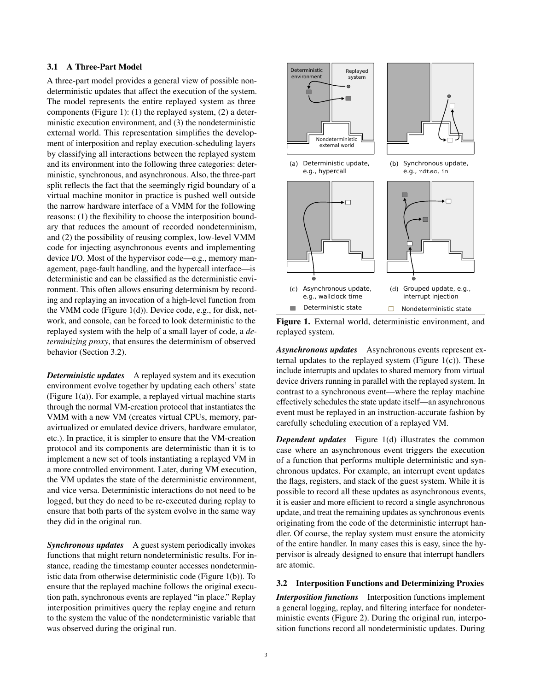# 3.1 A Three-Part Model

A three-part model provides a general view of possible nondeterministic updates that affect the execution of the system. The model represents the entire replayed system as three components [\(Figure](#page-2-0) 1): (1) the replayed system, (2) a deterministic execution environment, and (3) the nondeterministic external world. This representation simplifies the development of interposition and replay execution-scheduling layers by classifying all interactions between the replayed system and its environment into the following three categories: deterministic, synchronous, and asynchronous. Also, the three-part split reflects the fact that the seemingly rigid boundary of a virtual machine monitor in practice is pushed well outside the narrow hardware interface of a VMM for the following reasons: (1) the flexibility to choose the interposition boundary that reduces the amount of recorded nondeterminism, and (2) the possibility of reusing complex, low-level VMM code for injecting asynchronous events and implementing device I/O. Most of the hypervisor code—e.g., memory management, page-fault handling, and the hypercall interface—is deterministic and can be classified as the deterministic environment. This often allows ensuring determinism by recording and replaying an invocation of a high-level function from the VMM code [\(Figure](#page-2-0) 1(d)). Device code, e.g., for disk, network, and console, can be forced to look deterministic to the replayed system with the help of a small layer of code, a *determinizing proxy*, that ensures the determinism of observed behavior [\(Section 3.2\)](#page-2-1).

*Deterministic updates* A replayed system and its execution environment evolve together by updating each others' state [\(Figure](#page-2-0) 1(a)). For example, a replayed virtual machine starts through the normal VM-creation protocol that instantiates the VMM with a new VM (creates virtual CPUs, memory, paravirtualized or emulated device drivers, hardware emulator, etc.). In practice, it is simpler to ensure that the VM-creation protocol and its components are deterministic than it is to implement a new set of tools instantiating a replayed VM in a more controlled environment. Later, during VM execution, the VM updates the state of the deterministic environment, and vice versa. Deterministic interactions do not need to be logged, but they do need to be re-executed during replay to ensure that both parts of the system evolve in the same way they did in the original run.

**Synchronous updates** A guest system periodically invokes functions that might return nondeterministic results. For instance, reading the timestamp counter accesses nondeterministic data from otherwise deterministic code [\(Figure](#page-2-0) 1(b)). To ensure that the replayed machine follows the original execution path, synchronous events are replayed "in place." Replay interposition primitives query the replay engine and return to the system the value of the nondeterministic variable that was observed during the original run.



<span id="page-2-0"></span>Figure 1. External world, deterministic environment, and replayed system.

*Asynchronous updates* Asynchronous events represent external updates to the replayed system [\(Figure](#page-2-0) 1(c)). These include interrupts and updates to shared memory from virtual device drivers running in parallel with the replayed system. In contrast to a synchronous event—where the replay machine effectively schedules the state update itself—an asynchronous event must be replayed in an instruction-accurate fashion by carefully scheduling execution of a replayed VM.

*Dependent updates* [Figure](#page-2-0) 1(d) illustrates the common case where an asynchronous event triggers the execution of a function that performs multiple deterministic and synchronous updates. For example, an interrupt event updates the flags, registers, and stack of the guest system. While it is possible to record all these updates as asynchronous events, it is easier and more efficient to record a single asynchronous update, and treat the remaining updates as synchronous events originating from the code of the deterministic interrupt handler. Of course, the replay system must ensure the atomicity of the entire handler. In many cases this is easy, since the hypervisor is already designed to ensure that interrupt handlers are atomic.

#### <span id="page-2-1"></span>3.2 Interposition Functions and Determinizing Proxies

*Interposition functions* Interposition functions implement a general logging, replay, and filtering interface for nondeterministic events [\(Figure](#page-3-0) 2). During the original run, interposition functions record all nondeterministic updates. During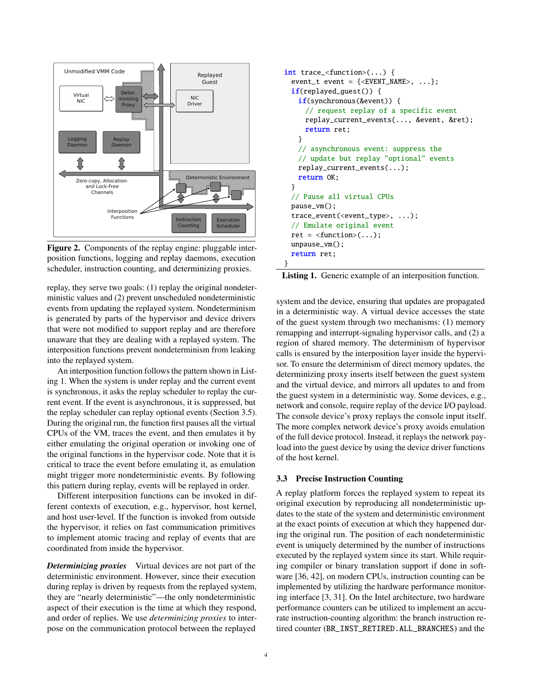

<span id="page-3-0"></span>Figure 2. Components of the replay engine: pluggable interposition functions, logging and replay daemons, execution scheduler, instruction counting, and determinizing proxies.

replay, they serve two goals: (1) replay the original nondeterministic values and (2) prevent unscheduled nondeterministic events from updating the replayed system. Nondeterminism is generated by parts of the hypervisor and device drivers that were not modified to support replay and are therefore unaware that they are dealing with a replayed system. The interposition functions prevent nondeterminism from leaking into the replayed system.

An interposition function follows the pattern shown in [List](#page-3-1)[ing 1.](#page-3-1) When the system is under replay and the current event is synchronous, it asks the replay scheduler to replay the current event. If the event is asynchronous, it is suppressed, but the replay scheduler can replay optional events [\(Section](#page-4-0) 3.5). During the original run, the function first pauses all the virtual CPUs of the VM, traces the event, and then emulates it by either emulating the original operation or invoking one of the original functions in the hypervisor code. Note that it is critical to trace the event before emulating it, as emulation might trigger more nondeterministic events. By following this pattern during replay, events will be replayed in order.

Different interposition functions can be invoked in different contexts of execution, e.g., hypervisor, host kernel, and host user-level. If the function is invoked from outside the hypervisor, it relies on fast communication primitives to implement atomic tracing and replay of events that are coordinated from inside the hypervisor.

*Determinizing proxies* Virtual devices are not part of the deterministic environment. However, since their execution during replay is driven by requests from the replayed system, they are "nearly deterministic"—the only nondeterministic aspect of their execution is the time at which they respond, and order of replies. We use *determinizing proxies* to interpose on the communication protocol between the replayed

```
int trace_<function>(...) {
 event_t event = {<&EVENT\_NAME>, ...};
 if(replayed_guest()) {
   if(synchronous(&event)) {
     // request replay of a specific event
     replay_current_events(..., &event, &ret);
     return ret;
   }
   // asynchronous event: suppress the
   // update but replay "optional" events
   replay_current_events(...);
   return OK;
 }
 // Pause all virtual CPUs
 pause_vm();
 trace_event(<event_type>, ...);
 // Emulate original event
 ret = <function>(...);unpause_vm();
 return ret;
}
```
Listing 1. Generic example of an interposition function.

system and the device, ensuring that updates are propagated in a deterministic way. A virtual device accesses the state of the guest system through two mechanisms: (1) memory remapping and interrupt-signaling hypervisor calls, and (2) a region of shared memory. The determinism of hypervisor calls is ensured by the interposition layer inside the hypervisor. To ensure the determinism of direct memory updates, the determinizing proxy inserts itself between the guest system and the virtual device, and mirrors all updates to and from the guest system in a deterministic way. Some devices, e.g., network and console, require replay of the device I/O payload. The console device's proxy replays the console input itself. The more complex network device's proxy avoids emulation of the full device protocol. Instead, it replays the network payload into the guest device by using the device driver functions of the host kernel.

#### 3.3 Precise Instruction Counting

A replay platform forces the replayed system to repeat its original execution by reproducing all nondeterministic updates to the state of the system and deterministic environment at the exact points of execution at which they happened during the original run. The position of each nondeterministic event is uniquely determined by the number of instructions executed by the replayed system since its start. While requiring compiler or binary translation support if done in software [\[36,](#page-13-7) [42\]](#page-13-8), on modern CPUs, instruction counting can be implemented by utilizing the hardware performance monitoring interface [\[3,](#page-11-2) [31\]](#page-12-15). On the Intel architecture, two hardware performance counters can be utilized to implement an accurate instruction-counting algorithm: the branch instruction retired counter (BR\_INST\_RETIRED.ALL\_BRANCHES) and the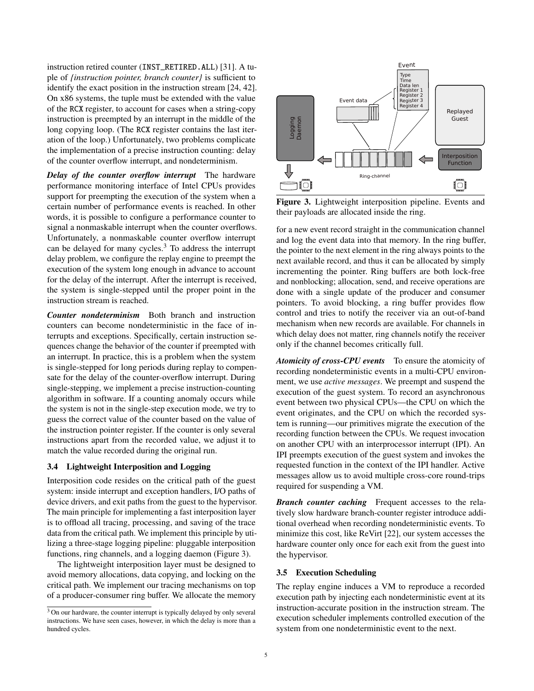instruction retired counter (INST\_RETIRED.ALL) [\[31\]](#page-12-15). A tuple of *{instruction pointer, branch counter}* is sufficient to identify the exact position in the instruction stream [\[24,](#page-12-16) [42\]](#page-13-8). On x86 systems, the tuple must be extended with the value of the RCX register, to account for cases when a string-copy instruction is preempted by an interrupt in the middle of the long copying loop. (The RCX register contains the last iteration of the loop.) Unfortunately, two problems complicate the implementation of a precise instruction counting: delay of the counter overflow interrupt, and nondeterminism.

*Delay of the counter overflow interrupt* The hardware performance monitoring interface of Intel CPUs provides support for preempting the execution of the system when a certain number of performance events is reached. In other words, it is possible to configure a performance counter to signal a nonmaskable interrupt when the counter overflows. Unfortunately, a nonmaskable counter overflow interrupt can be delayed for many cycles.<sup>[3](#page-4-1)</sup> To address the interrupt delay problem, we configure the replay engine to preempt the execution of the system long enough in advance to account for the delay of the interrupt. After the interrupt is received, the system is single-stepped until the proper point in the instruction stream is reached.

*Counter nondeterminism* Both branch and instruction counters can become nondeterministic in the face of interrupts and exceptions. Specifically, certain instruction sequences change the behavior of the counter if preempted with an interrupt. In practice, this is a problem when the system is single-stepped for long periods during replay to compensate for the delay of the counter-overflow interrupt. During single-stepping, we implement a precise instruction-counting algorithm in software. If a counting anomaly occurs while the system is not in the single-step execution mode, we try to guess the correct value of the counter based on the value of the instruction pointer register. If the counter is only several instructions apart from the recorded value, we adjust it to match the value recorded during the original run.

#### <span id="page-4-3"></span>3.4 Lightweight Interposition and Logging

Interposition code resides on the critical path of the guest system: inside interrupt and exception handlers, I/O paths of device drivers, and exit paths from the guest to the hypervisor. The main principle for implementing a fast interposition layer is to offload all tracing, processing, and saving of the trace data from the critical path. We implement this principle by utilizing a three-stage logging pipeline: pluggable interposition functions, ring channels, and a logging daemon [\(Figure 3\)](#page-4-2).

The lightweight interposition layer must be designed to avoid memory allocations, data copying, and locking on the critical path. We implement our tracing mechanisms on top of a producer-consumer ring buffer. We allocate the memory



<span id="page-4-2"></span>Figure 3. Lightweight interposition pipeline. Events and their payloads are allocated inside the ring.

for a new event record straight in the communication channel and log the event data into that memory. In the ring buffer, the pointer to the next element in the ring always points to the next available record, and thus it can be allocated by simply incrementing the pointer. Ring buffers are both lock-free and nonblocking; allocation, send, and receive operations are done with a single update of the producer and consumer pointers. To avoid blocking, a ring buffer provides flow control and tries to notify the receiver via an out-of-band mechanism when new records are available. For channels in which delay does not matter, ring channels notify the receiver only if the channel becomes critically full.

*Atomicity of cross-CPU events* To ensure the atomicity of recording nondeterministic events in a multi-CPU environment, we use *active messages*. We preempt and suspend the execution of the guest system. To record an asynchronous event between two physical CPUs—the CPU on which the event originates, and the CPU on which the recorded system is running—our primitives migrate the execution of the recording function between the CPUs. We request invocation on another CPU with an interprocessor interrupt (IPI). An IPI preempts execution of the guest system and invokes the requested function in the context of the IPI handler. Active messages allow us to avoid multiple cross-core round-trips required for suspending a VM.

*Branch counter caching* Frequent accesses to the relatively slow hardware branch-counter register introduce additional overhead when recording nondeterministic events. To minimize this cost, like ReVirt [\[22\]](#page-12-8), our system accesses the hardware counter only once for each exit from the guest into the hypervisor.

#### <span id="page-4-0"></span>3.5 Execution Scheduling

The replay engine induces a VM to reproduce a recorded execution path by injecting each nondeterministic event at its instruction-accurate position in the instruction stream. The execution scheduler implements controlled execution of the system from one nondeterministic event to the next.

<span id="page-4-1"></span><sup>3</sup> On our hardware, the counter interrupt is typically delayed by only several instructions. We have seen cases, however, in which the delay is more than a hundred cycles.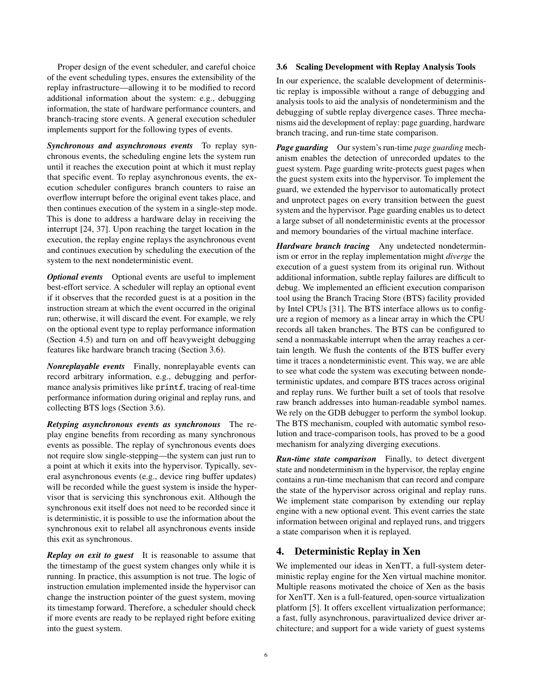Proper design of the event scheduler, and careful choice of the event scheduling types, ensures the extensibility of the replay infrastructure—allowing it to be modified to record additional information about the system: e.g., debugging information, the state of hardware performance counters, and branch-tracing store events. A general execution scheduler implements support for the following types of events.

*Synchronous and asynchronous events* To replay synchronous events, the scheduling engine lets the system run until it reaches the execution point at which it must replay that specific event. To replay asynchronous events, the execution scheduler configures branch counters to raise an overflow interrupt before the original event takes place, and then continues execution of the system in a single-step mode. This is done to address a hardware delay in receiving the interrupt [\[24,](#page-12-16) [37\]](#page-13-9). Upon reaching the target location in the execution, the replay engine replays the asynchronous event and continues execution by scheduling the execution of the system to the next nondeterministic event.

*Optional events* Optional events are useful to implement best-effort service. A scheduler will replay an optional event if it observes that the recorded guest is at a position in the instruction stream at which the event occurred in the original run; otherwise, it will discard the event. For example, we rely on the optional event type to replay performance information [\(Section](#page-7-0) 4.5) and turn on and off heavyweight debugging features like hardware branch tracing [\(Section 3.6\)](#page-5-0).

*Nonreplayable events* Finally, nonreplayable events can record arbitrary information, e.g., debugging and performance analysis primitives like printf, tracing of real-time performance information during original and replay runs, and collecting BTS logs [\(Section 3.6\)](#page-5-0).

*Retyping asynchronous events as synchronous* The replay engine benefits from recording as many synchronous events as possible. The replay of synchronous events does not require slow single-stepping—the system can just run to a point at which it exits into the hypervisor. Typically, several asynchronous events (e.g., device ring buffer updates) will be recorded while the guest system is inside the hypervisor that is servicing this synchronous exit. Although the synchronous exit itself does not need to be recorded since it is deterministic, it is possible to use the information about the synchronous exit to relabel all asynchronous events inside this exit as synchronous.

*Replay on exit to guest* It is reasonable to assume that the timestamp of the guest system changes only while it is running. In practice, this assumption is not true. The logic of instruction emulation implemented inside the hypervisor can change the instruction pointer of the guest system, moving its timestamp forward. Therefore, a scheduler should check if more events are ready to be replayed right before exiting into the guest system.

## 3.6 Scaling Development with Replay Analysis Tools

In our experience, the scalable development of deterministic replay is impossible without a range of debugging and analysis tools to aid the analysis of nondeterminism and the debugging of subtle replay divergence cases. Three mechanisms aid the development of replay: page guarding, hardware branch tracing, and run-time state comparison.

*Page guarding* Our system's run-time *page guarding* mechanism enables the detection of unrecorded updates to the guest system. Page guarding write-protects guest pages when the guest system exits into the hypervisor. To implement the guard, we extended the hypervisor to automatically protect and unprotect pages on every transition between the guest system and the hypervisor. Page guarding enables us to detect a large subset of all nondeterministic events at the processor and memory boundaries of the virtual machine interface.

<span id="page-5-0"></span>*Hardware branch tracing* Any undetected nondeterminism or error in the replay implementation might *diverge* the execution of a guest system from its original run. Without additional information, subtle replay failures are difficult to debug. We implemented an efficient execution comparison tool using the Branch Tracing Store (BTS) facility provided by Intel CPUs [\[31\]](#page-12-15). The BTS interface allows us to configure a region of memory as a linear array in which the CPU records all taken branches. The BTS can be configured to send a nonmaskable interrupt when the array reaches a certain length. We flush the contents of the BTS buffer every time it traces a nondeterministic event. This way, we are able to see what code the system was executing between nondeterministic updates, and compare BTS traces across original and replay runs. We further built a set of tools that resolve raw branch addresses into human-readable symbol names. We rely on the GDB debugger to perform the symbol lookup. The BTS mechanism, coupled with automatic symbol resolution and trace-comparison tools, has proved to be a good mechanism for analyzing diverging executions.

*Run-time state comparison* Finally, to detect divergent state and nondeterminism in the hypervisor, the replay engine contains a run-time mechanism that can record and compare the state of the hypervisor across original and replay runs. We implement state comparison by extending our replay engine with a new optional event. This event carries the state information between original and replayed runs, and triggers a state comparison when it is replayed.

# 4. Deterministic Replay in Xen

We implemented our ideas in XenTT, a full-system deterministic replay engine for the Xen virtual machine monitor. Multiple reasons motivated the choice of Xen as the basis for XenTT. Xen is a full-featured, open-source virtualization platform [\[5\]](#page-12-17). It offers excellent virtualization performance; a fast, fully asynchronous, paravirtualized device driver architecture; and support for a wide variety of guest systems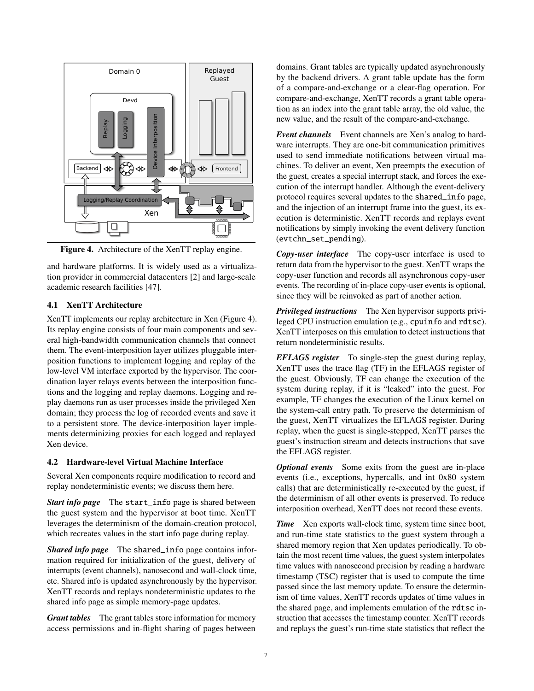

<span id="page-6-0"></span>Figure 4. Architecture of the XenTT replay engine.

and hardware platforms. It is widely used as a virtualization provider in commercial datacenters [\[2\]](#page-11-3) and large-scale academic research facilities [\[47\]](#page-13-10).

## 4.1 XenTT Architecture

XenTT implements our replay architecture in Xen [\(Figure](#page-6-0) 4). Its replay engine consists of four main components and several high-bandwidth communication channels that connect them. The event-interposition layer utilizes pluggable interposition functions to implement logging and replay of the low-level VM interface exported by the hypervisor. The coordination layer relays events between the interposition functions and the logging and replay daemons. Logging and replay daemons run as user processes inside the privileged Xen domain; they process the log of recorded events and save it to a persistent store. The device-interposition layer implements determinizing proxies for each logged and replayed Xen device.

# 4.2 Hardware-level Virtual Machine Interface

Several Xen components require modification to record and replay nondeterministic events; we discuss them here.

*Start info page* The start\_info page is shared between the guest system and the hypervisor at boot time. XenTT leverages the determinism of the domain-creation protocol, which recreates values in the start info page during replay.

*Shared info page* The shared\_info page contains information required for initialization of the guest, delivery of interrupts (event channels), nanosecond and wall-clock time, etc. Shared info is updated asynchronously by the hypervisor. XenTT records and replays nondeterministic updates to the shared info page as simple memory-page updates.

*Grant tables* The grant tables store information for memory access permissions and in-flight sharing of pages between domains. Grant tables are typically updated asynchronously by the backend drivers. A grant table update has the form of a compare-and-exchange or a clear-flag operation. For compare-and-exchange, XenTT records a grant table operation as an index into the grant table array, the old value, the new value, and the result of the compare-and-exchange.

*Event channels* Event channels are Xen's analog to hardware interrupts. They are one-bit communication primitives used to send immediate notifications between virtual machines. To deliver an event, Xen preempts the execution of the guest, creates a special interrupt stack, and forces the execution of the interrupt handler. Although the event-delivery protocol requires several updates to the shared\_info page, and the injection of an interrupt frame into the guest, its execution is deterministic. XenTT records and replays event notifications by simply invoking the event delivery function (evtchn\_set\_pending).

*Copy-user interface* The copy-user interface is used to return data from the hypervisor to the guest. XenTT wraps the copy-user function and records all asynchronous copy-user events. The recording of in-place copy-user events is optional, since they will be reinvoked as part of another action.

*Privileged instructions* The Xen hypervisor supports privileged CPU instruction emulation (e.g., cpuinfo and rdtsc). XenTT interposes on this emulation to detect instructions that return nondeterministic results.

*EFLAGS register* To single-step the guest during replay, XenTT uses the trace flag (TF) in the EFLAGS register of the guest. Obviously, TF can change the execution of the system during replay, if it is "leaked" into the guest. For example, TF changes the execution of the Linux kernel on the system-call entry path. To preserve the determinism of the guest, XenTT virtualizes the EFLAGS register. During replay, when the guest is single-stepped, XenTT parses the guest's instruction stream and detects instructions that save the EFLAGS register.

*Optional events* Some exits from the guest are in-place events (i.e., exceptions, hypercalls, and int 0x80 system calls) that are deterministically re-executed by the guest, if the determinism of all other events is preserved. To reduce interposition overhead, XenTT does not record these events.

*Time* Xen exports wall-clock time, system time since boot, and run-time state statistics to the guest system through a shared memory region that Xen updates periodically. To obtain the most recent time values, the guest system interpolates time values with nanosecond precision by reading a hardware timestamp (TSC) register that is used to compute the time passed since the last memory update. To ensure the determinism of time values, XenTT records updates of time values in the shared page, and implements emulation of the rdtsc instruction that accesses the timestamp counter. XenTT records and replays the guest's run-time state statistics that reflect the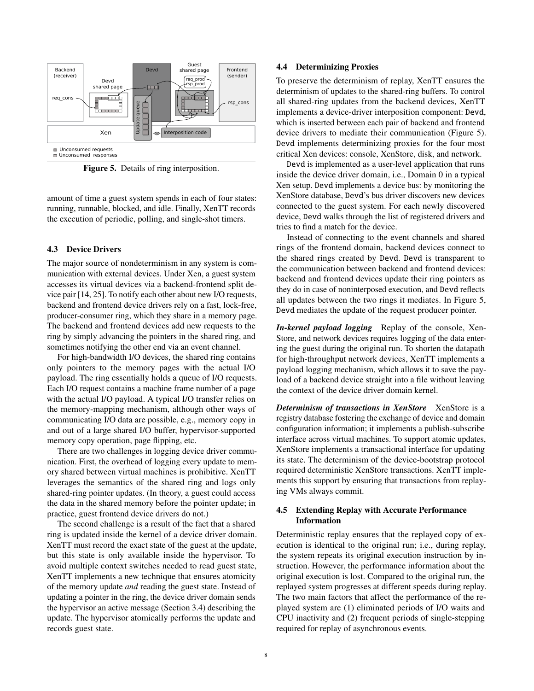

<span id="page-7-1"></span>Figure 5. Details of ring interposition.

amount of time a guest system spends in each of four states: running, runnable, blocked, and idle. Finally, XenTT records the execution of periodic, polling, and single-shot timers.

#### 4.3 Device Drivers

The major source of nondeterminism in any system is communication with external devices. Under Xen, a guest system accesses its virtual devices via a backend-frontend split device pair [\[14,](#page-12-18) [25\]](#page-12-19). To notify each other about new I/O requests, backend and frontend device drivers rely on a fast, lock-free, producer-consumer ring, which they share in a memory page. The backend and frontend devices add new requests to the ring by simply advancing the pointers in the shared ring, and sometimes notifying the other end via an event channel.

For high-bandwidth I/O devices, the shared ring contains only pointers to the memory pages with the actual I/O payload. The ring essentially holds a queue of I/O requests. Each I/O request contains a machine frame number of a page with the actual I/O payload. A typical I/O transfer relies on the memory-mapping mechanism, although other ways of communicating I/O data are possible, e.g., memory copy in and out of a large shared I/O buffer, hypervisor-supported memory copy operation, page flipping, etc.

There are two challenges in logging device driver communication. First, the overhead of logging every update to memory shared between virtual machines is prohibitive. XenTT leverages the semantics of the shared ring and logs only shared-ring pointer updates. (In theory, a guest could access the data in the shared memory before the pointer update; in practice, guest frontend device drivers do not.)

The second challenge is a result of the fact that a shared ring is updated inside the kernel of a device driver domain. XenTT must record the exact state of the guest at the update, but this state is only available inside the hypervisor. To avoid multiple context switches needed to read guest state, XenTT implements a new technique that ensures atomicity of the memory update *and* reading the guest state. Instead of updating a pointer in the ring, the device driver domain sends the hypervisor an active message [\(Section](#page-4-3) 3.4) describing the update. The hypervisor atomically performs the update and records guest state.

#### 4.4 Determinizing Proxies

To preserve the determinism of replay, XenTT ensures the determinism of updates to the shared-ring buffers. To control all shared-ring updates from the backend devices, XenTT implements a device-driver interposition component: Devd, which is inserted between each pair of backend and frontend device drivers to mediate their communication [\(Figure](#page-7-1) 5). Devd implements determinizing proxies for the four most critical Xen devices: console, XenStore, disk, and network.

Devd is implemented as a user-level application that runs inside the device driver domain, i.e., Domain 0 in a typical Xen setup. Devd implements a device bus: by monitoring the XenStore database, Devd's bus driver discovers new devices connected to the guest system. For each newly discovered device, Devd walks through the list of registered drivers and tries to find a match for the device.

Instead of connecting to the event channels and shared rings of the frontend domain, backend devices connect to the shared rings created by Devd. Devd is transparent to the communication between backend and frontend devices: backend and frontend devices update their ring pointers as they do in case of noninterposed execution, and Devd reflects all updates between the two rings it mediates. In [Figure](#page-7-1) 5, Devd mediates the update of the request producer pointer.

*In-kernel payload logging* Replay of the console, Xen-Store, and network devices requires logging of the data entering the guest during the original run. To shorten the datapath for high-throughput network devices, XenTT implements a payload logging mechanism, which allows it to save the payload of a backend device straight into a file without leaving the context of the device driver domain kernel.

*Determinism of transactions in XenStore* XenStore is a registry database fostering the exchange of device and domain configuration information; it implements a publish-subscribe interface across virtual machines. To support atomic updates, XenStore implements a transactional interface for updating its state. The determinism of the device-bootstrap protocol required deterministic XenStore transactions. XenTT implements this support by ensuring that transactions from replaying VMs always commit.

## <span id="page-7-0"></span>4.5 Extending Replay with Accurate Performance Information

Deterministic replay ensures that the replayed copy of execution is identical to the original run; i.e., during replay, the system repeats its original execution instruction by instruction. However, the performance information about the original execution is lost. Compared to the original run, the replayed system progresses at different speeds during replay. The two main factors that affect the performance of the replayed system are (1) eliminated periods of I/O waits and CPU inactivity and (2) frequent periods of single-stepping required for replay of asynchronous events.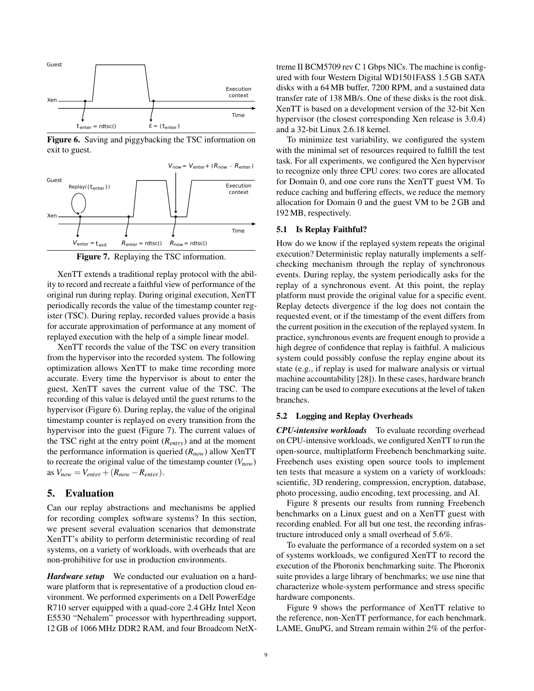

<span id="page-8-0"></span>Figure 6. Saving and piggybacking the TSC information on exit to guest.



<span id="page-8-1"></span>Figure 7. Replaying the TSC information.

XenTT extends a traditional replay protocol with the ability to record and recreate a faithful view of performance of the original run during replay. During original execution, XenTT periodically records the value of the timestamp counter register (TSC). During replay, recorded values provide a basis for accurate approximation of performance at any moment of replayed execution with the help of a simple linear model.

XenTT records the value of the TSC on every transition from the hypervisor into the recorded system. The following optimization allows XenTT to make time recording more accurate. Every time the hypervisor is about to enter the guest, XenTT saves the current value of the TSC. The recording of this value is delayed until the guest returns to the hypervisor [\(Figure](#page-8-0) 6). During replay, the value of the original timestamp counter is replayed on every transition from the hypervisor into the guest [\(Figure](#page-8-1) 7). The current values of the TSC right at the entry point (*Rentry*) and at the moment the performance information is queried (*Rnow*) allow XenTT to recreate the original value of the timestamp counter  $(V_{now})$ as  $V_{now} = V_{enter} + (R_{now} - R_{enter}).$ 

# 5. Evaluation

Can our replay abstractions and mechanisms be applied for recording complex software systems? In this section, we present several evaluation scenarios that demonstrate XenTT's ability to perform deterministic recording of real systems, on a variety of workloads, with overheads that are non-prohibitive for use in production environments.

*Hardware setup* We conducted our evaluation on a hardware platform that is representative of a production cloud environment. We performed experiments on a Dell PowerEdge R710 server equipped with a quad-core 2.4 GHz Intel Xeon E5530 "Nehalem" processor with hyperthreading support, 12 GB of 1066 MHz DDR2 RAM, and four Broadcom NetX-

treme II BCM5709 rev C 1 Gbps NICs. The machine is configured with four Western Digital WD1501FASS 1.5 GB SATA disks with a 64 MB buffer, 7200 RPM, and a sustained data transfer rate of 138 MB/s. One of these disks is the root disk. XenTT is based on a development version of the 32-bit Xen hypervisor (the closest corresponding Xen release is 3.0.4) and a 32-bit Linux 2.6.18 kernel.

To minimize test variability, we configured the system with the minimal set of resources required to fulfill the test task. For all experiments, we configured the Xen hypervisor to recognize only three CPU cores: two cores are allocated for Domain 0, and one core runs the XenTT guest VM. To reduce caching and buffering effects, we reduce the memory allocation for Domain 0 and the guest VM to be 2 GB and 192 MB, respectively.

#### 5.1 Is Replay Faithful?

How do we know if the replayed system repeats the original execution? Deterministic replay naturally implements a selfchecking mechanism through the replay of synchronous events. During replay, the system periodically asks for the replay of a synchronous event. At this point, the replay platform must provide the original value for a specific event. Replay detects divergence if the log does not contain the requested event, or if the timestamp of the event differs from the current position in the execution of the replayed system. In practice, synchronous events are frequent enough to provide a high degree of confidence that replay is faithful. A malicious system could possibly confuse the replay engine about its state (e.g., if replay is used for malware analysis or virtual machine accountability [\[28\]](#page-12-20)). In these cases, hardware branch tracing can be used to compare executions at the level of taken branches.

#### 5.2 Logging and Replay Overheads

*CPU-intensive workloads* To evaluate recording overhead on CPU-intensive workloads, we configured XenTT to run the open-source, multiplatform Freebench benchmarking suite. Freebench uses existing open source tools to implement ten tests that measure a system on a variety of workloads: scientific, 3D rendering, compression, encryption, database, photo processing, audio encoding, text processing, and AI.

[Figure](#page-9-0) 8 presents our results from running Freebench benchmarks on a Linux guest and on a XenTT guest with recording enabled. For all but one test, the recording infrastructure introduced only a small overhead of 5.6%.

To evaluate the performance of a recorded system on a set of systems workloads, we configured XenTT to record the execution of the Phoronix benchmarking suite. The Phoronix suite provides a large library of benchmarks; we use nine that characterize whole-system performance and stress specific hardware components.

[Figure](#page-9-1) 9 shows the performance of XenTT relative to the reference, non-XenTT performance, for each benchmark. LAME, GnuPG, and Stream remain within 2% of the perfor-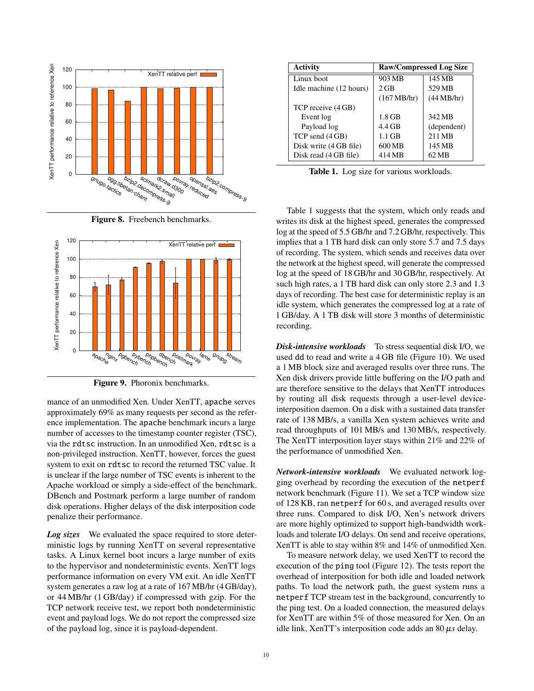

<span id="page-9-0"></span>



<span id="page-9-1"></span>Figure 9. Phoronix benchmarks.

mance of an unmodified Xen. Under XenTT, apache serves approximately 69% as many requests per second as the reference implementation. The apache benchmark incurs a large number of accesses to the timestamp counter register (TSC), via the rdtsc instruction. In an unmodified Xen, rdtsc is a non-privileged instruction. XenTT, however, forces the guest system to exit on rdtsc to record the returned TSC value. It is unclear if the large number of TSC events is inherent to the Apache workload or simply a side-effect of the benchmark. DBench and Postmark perform a large number of random disk operations. Higher delays of the disk interposition code penalize their performance.

*Log sizes* We evaluated the space required to store deterministic logs by running XenTT on several representative tasks. A Linux kernel boot incurs a large number of exits to the hypervisor and nondeterministic events. XenTT logs performance information on every VM exit. An idle XenTT system generates a raw log at a rate of 167 MB/hr (4 GB/day), or 44 MB/hr (1 GB/day) if compressed with gzip. For the TCP network receive test, we report both nondeterministic event and payload logs. We do not report the compressed size of the payload log, since it is payload-dependent.

| <b>Activity</b>         | <b>Raw/Compressed Log Size</b> |             |
|-------------------------|--------------------------------|-------------|
| Linux boot              | 903 MB                         | 145 MB      |
| Idle machine (12 hours) | $2$ GB                         | 529 MB      |
|                         | (167 MB/hr)                    | (44 MB/hr)  |
| TCP receive (4 GB)      |                                |             |
| Event log               | $1.8$ GB                       | 342 MB      |
| Payload log             | $4.4$ GB                       | (dependent) |
| TCP send (4 GB)         | $1.1$ GB                       | 211 MB      |
| Disk write (4 GB file)  | 600 MB                         | 145 MB      |
| Disk read (4 GB file)   | 414 MB                         | 62 MB       |

<span id="page-9-2"></span>Table 1. Log size for various workloads.

[Table](#page-9-2) 1 suggests that the system, which only reads and writes its disk at the highest speed, generates the compressed log at the speed of 5.5 GB/hr and 7.2 GB/hr, respectively. This implies that a 1 TB hard disk can only store 5.7 and 7.5 days of recording. The system, which sends and receives data over the network at the highest speed, will generate the compressed log at the speed of 18 GB/hr and 30 GB/hr, respectively. At such high rates, a 1 TB hard disk can only store 2.3 and 1.3 days of recording. The best case for deterministic replay is an idle system, which generates the compressed log at a rate of 1 GB/day. A 1 TB disk will store 3 months of deterministic recording.

*Disk-intensive workloads* To stress sequential disk I/O, we used dd to read and write a 4 GB file [\(Figure](#page-10-0) 10). We used a 1 MB block size and averaged results over three runs. The Xen disk drivers provide little buffering on the I/O path and are therefore sensitive to the delays that XenTT introduces by routing all disk requests through a user-level deviceinterposition daemon. On a disk with a sustained data transfer rate of 138 MB/s, a vanilla Xen system achieves write and read throughputs of 101 MB/s and 130 MB/s, respectively. The XenTT interposition layer stays within 21% and 22% of the performance of unmodified Xen.

*Network-intensive workloads* We evaluated network logging overhead by recording the execution of the netperf network benchmark [\(Figure](#page-10-1) 11). We set a TCP window size of 128 KB, ran netperf for 60 s, and averaged results over three runs. Compared to disk I/O, Xen's network drivers are more highly optimized to support high-bandwidth workloads and tolerate I/O delays. On send and receive operations, XenTT is able to stay within 8% and 14% of unmodified Xen.

To measure network delay, we used XenTT to record the execution of the ping tool [\(Figure](#page-10-2) 12). The tests report the overhead of interposition for both idle and loaded network paths. To load the network path, the guest system runs a netperf TCP stream test in the background, concurrently to the ping test. On a loaded connection, the measured delays for XenTT are within 5% of those measured for Xen. On an idle link, XenTT's interposition code adds an 80 µ*s* delay.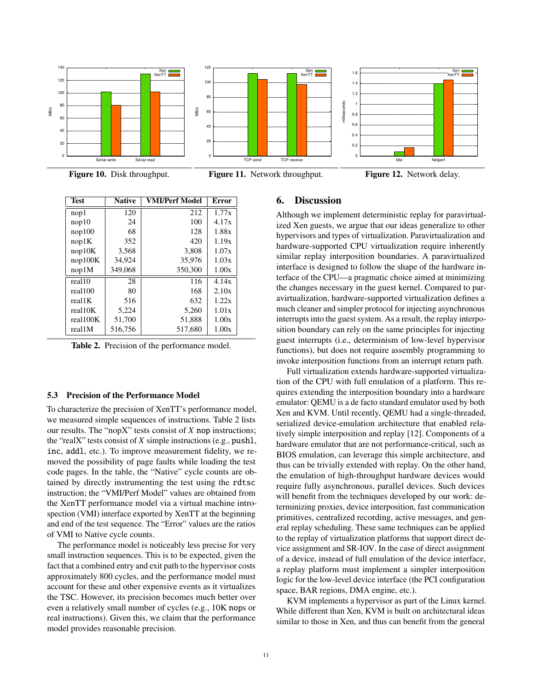

<span id="page-10-0"></span>Figure 10. Disk throughput.



<span id="page-10-1"></span>TCP send TCP receive



Xen XenTT

<span id="page-10-2"></span>Figure 12. Network delay.

| <b>Test</b> | <b>Native</b> | VMI/Perf Model | Error |
|-------------|---------------|----------------|-------|
| nop1        | 120           | 212            | 1.77x |
| nop10       | 24            | 100            | 4.17x |
| nop100      | 68            | 128            | 1.88x |
| nop1K       | 352           | 420            | 1.19x |
| nop10K      | 3,568         | 3,808          | 1.07x |
| nop100K     | 34.924        | 35.976         | 1.03x |
| nop1M       | 349,068       | 350,300        | 1.00x |
| real10      | 28            | 116            | 4.14x |
| real100     | 80            | 168            | 2.10x |
| real1K      | 516           | 632            | 1.22x |
| real10K     | 5,224         | 5,260          | 1.01x |
| real100K    | 51,700        | 51,888         | 1.00x |
| real1M      | 516.756       | 517.680        | 1.00x |

<span id="page-10-3"></span>Table 2. Precision of the performance model.

#### 5.3 Precision of the Performance Model

To characterize the precision of XenTT's performance model, we measured simple sequences of instructions. Table [2](#page-10-3) lists our results. The "nopX" tests consist of *X* nop instructions; the "realX" tests consist of *X* simple instructions (e.g., pushl, inc, addl, etc.). To improve measurement fidelity, we removed the possibility of page faults while loading the test code pages. In the table, the "Native" cycle counts are obtained by directly instrumenting the test using the rdtsc instruction; the "VMI/Perf Model" values are obtained from the XenTT performance model via a virtual machine introspection (VMI) interface exported by XenTT at the beginning and end of the test sequence. The "Error" values are the ratios of VMI to Native cycle counts.

The performance model is noticeably less precise for very small instruction sequences. This is to be expected, given the fact that a combined entry and exit path to the hypervisor costs approximately 800 cycles, and the performance model must account for these and other expensive events as it virtualizes the TSC. However, its precision becomes much better over even a relatively small number of cycles (e.g., 10K nops or real instructions). Given this, we claim that the performance model provides reasonable precision.

# 6. Discussion

Xen XenTT

 1.2 1.4 1.6

milliseconds

Although we implement deterministic replay for paravirtualized Xen guests, we argue that our ideas generalize to other hypervisors and types of virtualization. Paravirtualization and hardware-supported CPU virtualization require inherently similar replay interposition boundaries. A paravirtualized interface is designed to follow the shape of the hardware interface of the CPU—a pragmatic choice aimed at minimizing the changes necessary in the guest kernel. Compared to paravirtualization, hardware-supported virtualization defines a much cleaner and simpler protocol for injecting asynchronous interrupts into the guest system. As a result, the replay interposition boundary can rely on the same principles for injecting guest interrupts (i.e., determinism of low-level hypervisor functions), but does not require assembly programming to invoke interposition functions from an interrupt return path.

Full virtualization extends hardware-supported virtualization of the CPU with full emulation of a platform. This requires extending the interposition boundary into a hardware emulator: QEMU is a de facto standard emulator used by both Xen and KVM. Until recently, QEMU had a single-threaded, serialized device-emulation architecture that enabled relatively simple interposition and replay [\[12\]](#page-12-9). Components of a hardware emulator that are not performance-critical, such as BIOS emulation, can leverage this simple architecture, and thus can be trivially extended with replay. On the other hand, the emulation of high-throughput hardware devices would require fully asynchronous, parallel devices. Such devices will benefit from the techniques developed by our work: determinizing proxies, device interposition, fast communication primitives, centralized recording, active messages, and general replay scheduling. These same techniques can be applied to the replay of virtualization platforms that support direct device assignment and SR-IOV. In the case of direct assignment of a device, instead of full emulation of the device interface, a replay platform must implement a simpler interposition logic for the low-level device interface (the PCI configuration space, BAR regions, DMA engine, etc.).

KVM implements a hypervisor as part of the Linux kernel. While different than Xen, KVM is built on architectural ideas similar to those in Xen, and thus can benefit from the general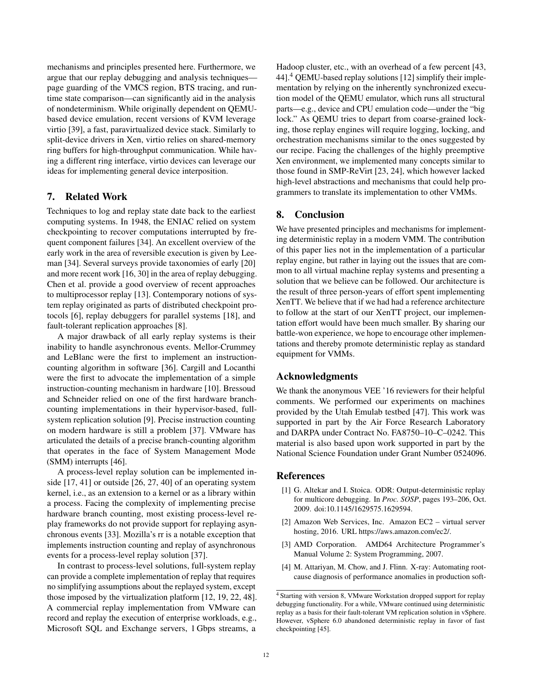mechanisms and principles presented here. Furthermore, we argue that our replay debugging and analysis techniques page guarding of the VMCS region, BTS tracing, and runtime state comparison—can significantly aid in the analysis of nondeterminism. While originally dependent on QEMUbased device emulation, recent versions of KVM leverage virtio [\[39\]](#page-13-11), a fast, paravirtualized device stack. Similarly to split-device drivers in Xen, virtio relies on shared-memory ring buffers for high-throughput communication. While having a different ring interface, virtio devices can leverage our ideas for implementing general device interposition.

# 7. Related Work

Techniques to log and replay state date back to the earliest computing systems. In 1948, the ENIAC relied on system checkpointing to recover computations interrupted by frequent component failures [\[34\]](#page-12-21). An excellent overview of the early work in the area of reversible execution is given by Leeman [\[34\]](#page-12-21). Several surveys provide taxonomies of early [\[20\]](#page-12-22) and more recent work [\[16,](#page-12-23) [30\]](#page-12-24) in the area of replay debugging. Chen et al. provide a good overview of recent approaches to multiprocessor replay [\[13\]](#page-12-10). Contemporary notions of system replay originated as parts of distributed checkpoint protocols [\[6\]](#page-12-25), replay debuggers for parallel systems [\[18\]](#page-12-26), and fault-tolerant replication approaches [\[8\]](#page-12-27).

A major drawback of all early replay systems is their inability to handle asynchronous events. Mellor-Crummey and LeBlanc were the first to implement an instructioncounting algorithm in software [\[36\]](#page-13-7). Cargill and Locanthi were the first to advocate the implementation of a simple instruction-counting mechanism in hardware [\[10\]](#page-12-28). Bressoud and Schneider relied on one of the first hardware branchcounting implementations in their hypervisor-based, fullsystem replication solution [\[9\]](#page-12-5). Precise instruction counting on modern hardware is still a problem [\[37\]](#page-13-9). VMware has articulated the details of a precise branch-counting algorithm that operates in the face of System Management Mode (SMM) interrupts [\[46\]](#page-13-6).

A process-level replay solution can be implemented inside [\[17,](#page-12-29) [41\]](#page-13-2) or outside [\[26,](#page-12-1) [27,](#page-12-2) [40\]](#page-13-1) of an operating system kernel, i.e., as an extension to a kernel or as a library within a process. Facing the complexity of implementing precise hardware branch counting, most existing process-level replay frameworks do not provide support for replaying asynchronous events [\[33\]](#page-12-4). Mozilla's rr is a notable exception that implements instruction counting and replay of asynchronous events for a process-level replay solution [\[37\]](#page-13-9).

In contrast to process-level solutions, full-system replay can provide a complete implementation of replay that requires no simplifying assumptions about the replayed system, except those imposed by the virtualization platform [\[12,](#page-12-9) [19,](#page-12-7) [22,](#page-12-8) [48\]](#page-13-12). A commercial replay implementation from VMware can record and replay the execution of enterprise workloads, e.g., Microsoft SQL and Exchange servers, 1 Gbps streams, a Hadoop cluster, etc., with an overhead of a few percent [\[43,](#page-13-3) [44\]](#page-13-4).<sup>[4](#page-11-4)</sup> QEMU-based replay solutions [\[12\]](#page-12-9) simplify their implementation by relying on the inherently synchronized execution model of the QEMU emulator, which runs all structural parts—e.g., device and CPU emulation code—under the "big lock." As QEMU tries to depart from coarse-grained locking, those replay engines will require logging, locking, and orchestration mechanisms similar to the ones suggested by our recipe. Facing the challenges of the highly preemptive Xen environment, we implemented many concepts similar to those found in SMP-ReVirt [\[23,](#page-12-11) [24\]](#page-12-16), which however lacked high-level abstractions and mechanisms that could help programmers to translate its implementation to other VMMs.

# 8. Conclusion

We have presented principles and mechanisms for implementing deterministic replay in a modern VMM. The contribution of this paper lies not in the implementation of a particular replay engine, but rather in laying out the issues that are common to all virtual machine replay systems and presenting a solution that we believe can be followed. Our architecture is the result of three person-years of effort spent implementing XenTT. We believe that if we had had a reference architecture to follow at the start of our XenTT project, our implementation effort would have been much smaller. By sharing our battle-won experience, we hope to encourage other implementations and thereby promote deterministic replay as standard equipment for VMMs.

# Acknowledgments

We thank the anonymous VEE '16 reviewers for their helpful comments. We performed our experiments on machines provided by the Utah Emulab testbed [\[47\]](#page-13-10). This work was supported in part by the Air Force Research Laboratory and DARPA under Contract No. FA8750–10–C–0242. This material is also based upon work supported in part by the National Science Foundation under Grant Number 0524096.

#### References

- <span id="page-11-1"></span>[1] G. Altekar and I. Stoica. ODR: Output-deterministic replay for multicore debugging. In *Proc. SOSP*, pages 193–206, Oct. 2009. doi[:10.1145/1629575.1629594.](http://dx.doi.org/10.1145/1629575.1629594)
- <span id="page-11-3"></span>[2] Amazon Web Services, Inc. Amazon EC2 – virtual server hosting, 2016. URL [https://aws.amazon.com/ec2/.](https://aws.amazon.com/ec2/)
- <span id="page-11-2"></span>[3] AMD Corporation. AMD64 Architecture Programmer's Manual Volume 2: System Programming, 2007.
- <span id="page-11-0"></span>[4] M. Attariyan, M. Chow, and J. Flinn. X-ray: Automating rootcause diagnosis of performance anomalies in production soft-

<span id="page-11-4"></span><sup>&</sup>lt;sup>4</sup> Starting with version 8, VMware Workstation dropped support for replay debugging functionality. For a while, VMware continued using deterministic replay as a basis for their fault-tolerant VM replication solution in vSphere. However, vSphere 6.0 abandoned deterministic replay in favor of fast checkpointing [\[45\]](#page-13-13).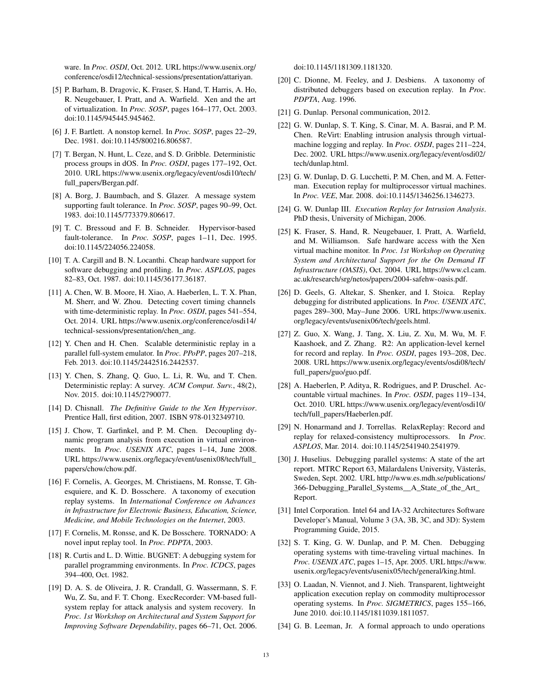ware. In *Proc. OSDI*, Oct. 2012. URL [https://www.usenix.org/](https://www.usenix.org/conference/osdi12/technical-sessions/presentation/attariyan) [conference/osdi12/technical-sessions/presentation/attariyan.](https://www.usenix.org/conference/osdi12/technical-sessions/presentation/attariyan)

- <span id="page-12-17"></span>[5] P. Barham, B. Dragovic, K. Fraser, S. Hand, T. Harris, A. Ho, R. Neugebauer, I. Pratt, and A. Warfield. Xen and the art of virtualization. In *Proc. SOSP*, pages 164–177, Oct. 2003. doi[:10.1145/945445.945462.](http://dx.doi.org/10.1145/945445.945462)
- <span id="page-12-25"></span>[6] J. F. Bartlett. A nonstop kernel. In *Proc. SOSP*, pages 22–29, Dec. 1981. doi[:10.1145/800216.806587.](http://dx.doi.org/10.1145/800216.806587)
- <span id="page-12-12"></span>[7] T. Bergan, N. Hunt, L. Ceze, and S. D. Gribble. Deterministic process groups in dOS. In *Proc. OSDI*, pages 177–192, Oct. 2010. URL [https://www.usenix.org/legacy/event/osdi10/tech/](https://www.usenix.org/legacy/event/osdi10/tech/full_papers/Bergan.pdf) [full\\_papers/Bergan.pdf.](https://www.usenix.org/legacy/event/osdi10/tech/full_papers/Bergan.pdf)
- <span id="page-12-27"></span>[8] A. Borg, J. Baumbach, and S. Glazer. A message system supporting fault tolerance. In *Proc. SOSP*, pages 90–99, Oct. 1983. doi[:10.1145/773379.806617.](http://dx.doi.org/10.1145/773379.806617)
- <span id="page-12-5"></span>[9] T. C. Bressoud and F. B. Schneider. Hypervisor-based fault-tolerance. In *Proc. SOSP*, pages 1–11, Dec. 1995. doi[:10.1145/224056.224058.](http://dx.doi.org/10.1145/224056.224058)
- <span id="page-12-28"></span>[10] T. A. Cargill and B. N. Locanthi. Cheap hardware support for software debugging and profiling. In *Proc. ASPLOS*, pages 82–83, Oct. 1987. doi[:10.1145/36177.36187.](http://dx.doi.org/10.1145/36177.36187)
- <span id="page-12-6"></span>[11] A. Chen, W. B. Moore, H. Xiao, A. Haeberlen, L. T. X. Phan, M. Sherr, and W. Zhou. Detecting covert timing channels with time-deterministic replay. In *Proc. OSDI*, pages 541–554, Oct. 2014. URL [https://www.usenix.org/conference/osdi14/](https://www.usenix.org/conference/osdi14/technical-sessions/presentation/chen_ang) [technical-sessions/presentation/chen\\_ang.](https://www.usenix.org/conference/osdi14/technical-sessions/presentation/chen_ang)
- <span id="page-12-9"></span>[12] Y. Chen and H. Chen. Scalable deterministic replay in a parallel full-system emulator. In *Proc. PPoPP*, pages 207–218, Feb. 2013. doi[:10.1145/2442516.2442537.](http://dx.doi.org/10.1145/2442516.2442537)
- <span id="page-12-10"></span>[13] Y. Chen, S. Zhang, Q. Guo, L. Li, R. Wu, and T. Chen. Deterministic replay: A survey. *ACM Comput. Surv.*, 48(2), Nov. 2015. doi[:10.1145/2790077.](http://dx.doi.org/10.1145/2790077)
- <span id="page-12-18"></span>[14] D. Chisnall. *The Definitive Guide to the Xen Hypervisor*. Prentice Hall, first edition, 2007. ISBN 978-0132349710.
- <span id="page-12-0"></span>[15] J. Chow, T. Garfinkel, and P. M. Chen. Decoupling dynamic program analysis from execution in virtual environments. In *Proc. USENIX ATC*, pages 1–14, June 2008. URL [https://www.usenix.org/legacy/event/usenix08/tech/full\\_](https://www.usenix.org/legacy/event/usenix08/tech/full_papers/chow/chow.pdf) [papers/chow/chow.pdf.](https://www.usenix.org/legacy/event/usenix08/tech/full_papers/chow/chow.pdf)
- <span id="page-12-23"></span>[16] F. Cornelis, A. Georges, M. Christiaens, M. Ronsse, T. Ghesquiere, and K. D. Bosschere. A taxonomy of execution replay systems. In *International Conference on Advances in Infrastructure for Electronic Business, Education, Science, Medicine, and Mobile Technologies on the Internet*, 2003.
- <span id="page-12-29"></span>[17] F. Cornelis, M. Ronsse, and K. De Bosschere. TORNADO: A novel input replay tool. In *Proc. PDPTA*, 2003.
- <span id="page-12-26"></span>[18] R. Curtis and L. D. Wittie. BUGNET: A debugging system for parallel programming environments. In *Proc. ICDCS*, pages 394–400, Oct. 1982.
- <span id="page-12-7"></span>[19] D. A. S. de Oliveira, J. R. Crandall, G. Wassermann, S. F. Wu, Z. Su, and F. T. Chong. ExecRecorder: VM-based fullsystem replay for attack analysis and system recovery. In *Proc. 1st Workshop on Architectural and System Support for Improving Software Dependability*, pages 66–71, Oct. 2006.

doi[:10.1145/1181309.1181320.](http://dx.doi.org/10.1145/1181309.1181320)

- <span id="page-12-22"></span>[20] C. Dionne, M. Feeley, and J. Desbiens. A taxonomy of distributed debuggers based on execution replay. In *Proc. PDPTA*, Aug. 1996.
- <span id="page-12-14"></span>[21] G. Dunlap. Personal communication, 2012.
- <span id="page-12-8"></span>[22] G. W. Dunlap, S. T. King, S. Cinar, M. A. Basrai, and P. M. Chen. ReVirt: Enabling intrusion analysis through virtualmachine logging and replay. In *Proc. OSDI*, pages 211–224, Dec. 2002. URL [https://www.usenix.org/legacy/event/osdi02/](https://www.usenix.org/legacy/event/osdi02/tech/dunlap.html) [tech/dunlap.html.](https://www.usenix.org/legacy/event/osdi02/tech/dunlap.html)
- <span id="page-12-11"></span>[23] G. W. Dunlap, D. G. Lucchetti, P. M. Chen, and M. A. Fetterman. Execution replay for multiprocessor virtual machines. In *Proc. VEE*, Mar. 2008. doi[:10.1145/1346256.1346273.](http://dx.doi.org/10.1145/1346256.1346273)
- <span id="page-12-16"></span>[24] G. W. Dunlap III. *Execution Replay for Intrusion Analysis*. PhD thesis, University of Michigan, 2006.
- <span id="page-12-19"></span>[25] K. Fraser, S. Hand, R. Neugebauer, I. Pratt, A. Warfield, and M. Williamson. Safe hardware access with the Xen virtual machine monitor. In *Proc. 1st Workshop on Operating System and Architectural Support for the On Demand IT Infrastructure (OASIS)*, Oct. 2004. URL [https://www.cl.cam.](https://www.cl.cam.ac.uk/research/srg/netos/papers/2004-safehw-oasis.pdf) [ac.uk/research/srg/netos/papers/2004-safehw-oasis.pdf.](https://www.cl.cam.ac.uk/research/srg/netos/papers/2004-safehw-oasis.pdf)
- <span id="page-12-1"></span>[26] D. Geels, G. Altekar, S. Shenker, and I. Stoica. Replay debugging for distributed applications. In *Proc. USENIX ATC*, pages 289–300, May–June 2006. URL [https://www.usenix.](https://www.usenix.org/legacy/events/usenix06/tech/geels.html) [org/legacy/events/usenix06/tech/geels.html.](https://www.usenix.org/legacy/events/usenix06/tech/geels.html)
- <span id="page-12-2"></span>[27] Z. Guo, X. Wang, J. Tang, X. Liu, Z. Xu, M. Wu, M. F. Kaashoek, and Z. Zhang. R2: An application-level kernel for record and replay. In *Proc. OSDI*, pages 193–208, Dec. 2008. URL [https://www.usenix.org/legacy/events/osdi08/tech/](https://www.usenix.org/legacy/events/osdi08/tech/full_papers/guo/guo.pdf) [full\\_papers/guo/guo.pdf.](https://www.usenix.org/legacy/events/osdi08/tech/full_papers/guo/guo.pdf)
- <span id="page-12-20"></span>[28] A. Haeberlen, P. Aditya, R. Rodrigues, and P. Druschel. Accountable virtual machines. In *Proc. OSDI*, pages 119–134, Oct. 2010. URL [https://www.usenix.org/legacy/event/osdi10/](https://www.usenix.org/legacy/event/osdi10/tech/full_papers/Haeberlen.pdf) [tech/full\\_papers/Haeberlen.pdf.](https://www.usenix.org/legacy/event/osdi10/tech/full_papers/Haeberlen.pdf)
- <span id="page-12-13"></span>[29] N. Honarmand and J. Torrellas. RelaxReplay: Record and replay for relaxed-consistency multiprocessors. In *Proc. ASPLOS*, Mar. 2014. doi[:10.1145/2541940.2541979.](http://dx.doi.org/10.1145/2541940.2541979)
- <span id="page-12-24"></span>[30] J. Huselius. Debugging parallel systems: A state of the art report. MTRC Report 63, Mälardalens University, Västerås, Sweden, Sept. 2002. URL [http://www.es.mdh.se/publications/](http://www.es.mdh.se/publications/366-Debugging_Parallel_Systems__A_State_of_the_Art_Report) [366-Debugging\\_Parallel\\_Systems\\_\\_A\\_State\\_of\\_the\\_Art\\_](http://www.es.mdh.se/publications/366-Debugging_Parallel_Systems__A_State_of_the_Art_Report) [Report.](http://www.es.mdh.se/publications/366-Debugging_Parallel_Systems__A_State_of_the_Art_Report)
- <span id="page-12-15"></span>[31] Intel Corporation. Intel 64 and IA-32 Architectures Software Developer's Manual, Volume 3 (3A, 3B, 3C, and 3D): System Programming Guide, 2015.
- <span id="page-12-3"></span>[32] S. T. King, G. W. Dunlap, and P. M. Chen. Debugging operating systems with time-traveling virtual machines. In *Proc. USENIX ATC*, pages 1–15, Apr. 2005. URL [https://www.](https://www.usenix.org/legacy/events/usenix05/tech/general/king.html) [usenix.org/legacy/events/usenix05/tech/general/king.html.](https://www.usenix.org/legacy/events/usenix05/tech/general/king.html)
- <span id="page-12-4"></span>[33] O. Laadan, N. Viennot, and J. Nieh. Transparent, lightweight application execution replay on commodity multiprocessor operating systems. In *Proc. SIGMETRICS*, pages 155–166, June 2010. doi[:10.1145/1811039.1811057.](http://dx.doi.org/10.1145/1811039.1811057)
- <span id="page-12-21"></span>[34] G. B. Leeman, Jr. A formal approach to undo operations